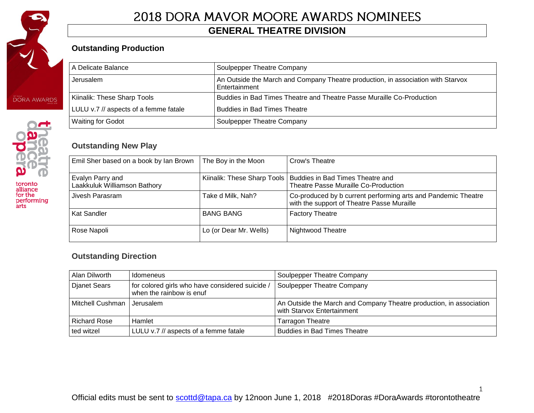

toronto<br>alliance<br>for the performing<br>arts

# 2018 DORA MAVOR MOORE AWARDS NOMINEES

### **GENERAL THEATRE DIVISION**

### **Outstanding Production**

| A Delicate Balance                    | Soulpepper Theatre Company                                                                        |
|---------------------------------------|---------------------------------------------------------------------------------------------------|
| Jerusalem                             | An Outside the March and Company Theatre production, in association with Starvox<br>Entertainment |
| Kiinalik: These Sharp Tools           | Buddies in Bad Times Theatre and Theatre Passe Muraille Co-Production                             |
| LULU v.7 // aspects of a femme fatale | <b>Buddies in Bad Times Theatre</b>                                                               |
| <b>Waiting for Godot</b>              | Soulpepper Theatre Company                                                                        |

### **Outstanding New Play**

| Emil Sher based on a book by Ian Brown           | The Boy in the Moon    | Crow's Theatre                                                                                              |
|--------------------------------------------------|------------------------|-------------------------------------------------------------------------------------------------------------|
| Evalyn Parry and<br>Laakkuluk Williamson Bathory |                        | Kiinalik: These Sharp Tools   Buddies in Bad Times Theatre and<br>Theatre Passe Muraille Co-Production      |
| Jivesh Parasram                                  | Take d Milk, Nah?      | Co-produced by b current performing arts and Pandemic Theatre<br>with the support of Theatre Passe Muraille |
| Kat Sandler                                      | <b>BANG BANG</b>       | <b>Factory Theatre</b>                                                                                      |
| Rose Napoli                                      | Lo (or Dear Mr. Wells) | Nightwood Theatre                                                                                           |

#### **Outstanding Direction**

| Alan Dilworth                | Idomeneus                                                                   | Soulpepper Theatre Company                                                                        |
|------------------------------|-----------------------------------------------------------------------------|---------------------------------------------------------------------------------------------------|
| <b>Djanet Sears</b>          | for colored girls who have considered suicide /<br>when the rainbow is enuf | Soulpepper Theatre Company                                                                        |
| Mitchell Cushman   Jerusalem |                                                                             | An Outside the March and Company Theatre production, in association<br>with Starvox Entertainment |
| <b>Richard Rose</b>          | Hamlet                                                                      | Tarragon Theatre                                                                                  |
| ted witzel                   | LULU v.7 // aspects of a femme fatale                                       | <b>Buddies in Bad Times Theatre</b>                                                               |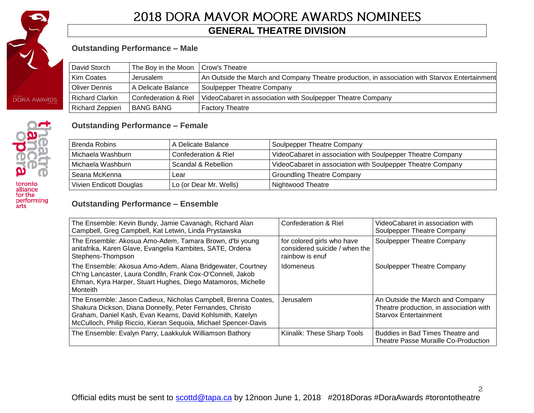

toronto<br>alliance for the performing<br>arts

# 2018 DORA MAVOR MOORE AWARDS NOMINEES

### **GENERAL THEATRE DIVISION**

### **Outstanding Performance – Male**

| David Storch           | The Boy in the Moon             | Crow's Theatre                                                                                 |
|------------------------|---------------------------------|------------------------------------------------------------------------------------------------|
| Kim Coates             | Jerusalem                       | An Outside the March and Company Theatre production, in association with Starvox Entertainment |
| Oliver Dennis          | l A Delicate Balance            | Soulpepper Theatre Company                                                                     |
| <b>Richard Clarkin</b> | <b>Confederation &amp; Riel</b> | VideoCabaret in association with Soulpepper Theatre Company                                    |
| Richard Zeppieri       | l BANG BANG                     | <b>Factory Theatre</b>                                                                         |

#### **Outstanding Performance – Female**

| <b>Brenda Robins</b>    | A Delicate Balance     | Soulpepper Theatre Company                                  |
|-------------------------|------------------------|-------------------------------------------------------------|
| l Michaela Washburn.    | Confederation & Riel   | VideoCabaret in association with Soulpepper Theatre Company |
| l Michaela Washburn.    | Scandal & Rebellion    | VideoCabaret in association with Soulpepper Theatre Company |
| Seana McKenna           | Lear                   | <b>Groundling Theatre Company</b>                           |
| Vivien Endicott Douglas | Lo (or Dear Mr. Wells) | Nightwood Theatre                                           |

#### **Outstanding Performance – Ensemble**

| The Ensemble: Kevin Bundy, Jamie Cavanagh, Richard Alan<br>Campbell, Greg Campbell, Kat Letwin, Linda Prystawska                                                                                                                                             | Confederation & Riel                                                           | VideoCabaret in association with<br>Soulpepper Theatre Company                                              |
|--------------------------------------------------------------------------------------------------------------------------------------------------------------------------------------------------------------------------------------------------------------|--------------------------------------------------------------------------------|-------------------------------------------------------------------------------------------------------------|
| The Ensemble: Akosua Amo-Adem, Tamara Brown, d'bi young<br>anitafrika, Karen Glave, Evangelia Kambites, SATE, Ordena<br>Stephens-Thompson                                                                                                                    | for colored girls who have<br>considered suicide / when the<br>rainbow is enuf | Soulpepper Theatre Company                                                                                  |
| The Ensemble: Akosua Amo-Adem, Alana Bridgewater, Courtney<br>Ch'ng Lancaster, Laura Condlln, Frank Cox-O'Connell, Jakob<br>Ehman, Kyra Harper, Stuart Hughes, Diego Matamoros, Michelle<br>Monteith                                                         | Idomeneus                                                                      | Soulpepper Theatre Company                                                                                  |
| The Ensemble: Jason Cadieux, Nicholas Campbell, Brenna Coates,<br>Shakura Dickson, Diana Donnelly, Peter Fernandes, Christo<br>Graham, Daniel Kash, Evan Kearns, David Kohlsmith, Katelyn<br>McCulloch, Philip Riccio, Kieran Sequoia, Michael Spencer-Davis | Jerusalem                                                                      | An Outside the March and Company<br>Theatre production, in association with<br><b>Starvox Entertainment</b> |
| The Ensemble: Evalyn Parry, Laakkuluk Williamson Bathory                                                                                                                                                                                                     | Kiinalik: These Sharp Tools                                                    | Buddies in Bad Times Theatre and<br>Theatre Passe Muraille Co-Production                                    |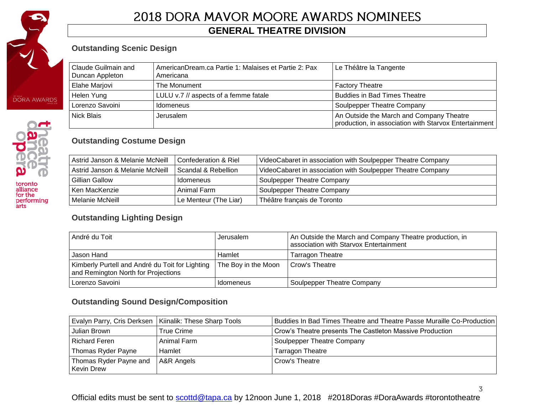

toronto<br>alliance for the performing<br>arts

# 2018 DORA MAVOR MOORE AWARDS NOMINEES

### **GENERAL THEATRE DIVISION**

### **Outstanding Scenic Design**

| Claude Guilmain and<br>Duncan Appleton | AmericanDream.ca Partie 1: Malaises et Partie 2: Pax<br>Americana | Le Théâtre la Tangente                                                                            |
|----------------------------------------|-------------------------------------------------------------------|---------------------------------------------------------------------------------------------------|
| Elahe Marjovi                          | The Monument                                                      | <b>Factory Theatre</b>                                                                            |
| Helen Yung                             | LULU v.7 // aspects of a femme fatale                             | <b>Buddies in Bad Times Theatre</b>                                                               |
| Lorenzo Savoini                        | Idomeneus                                                         | Soulpepper Theatre Company                                                                        |
| l Nick Blais                           | Jerusalem                                                         | An Outside the March and Company Theatre<br>production, in association with Starvox Entertainment |

### **Outstanding Costume Design**

| Astrid Janson & Melanie McNeill | l Confederation & Riel | VideoCabaret in association with Soulpepper Theatre Company |
|---------------------------------|------------------------|-------------------------------------------------------------|
| Astrid Janson & Melanie McNeill | Scandal & Rebellion    | VideoCabaret in association with Soulpepper Theatre Company |
| Gillian Gallow                  | <b>Idomeneus</b>       | Soulpepper Theatre Company                                  |
| Ken MacKenzie                   | Animal Farm            | Soulpepper Theatre Company                                  |
| Melanie McNeill                 | Le Menteur (The Liar)  | Théâtre français de Toronto                                 |

### **Outstanding Lighting Design**

| André du Toit                                                                          | Jerusalem           | An Outside the March and Company Theatre production, in<br>association with Starvox Entertainment |
|----------------------------------------------------------------------------------------|---------------------|---------------------------------------------------------------------------------------------------|
| Jason Hand                                                                             | Hamlet              | <b>Tarragon Theatre</b>                                                                           |
| Kimberly Purtell and André du Toit for Lighting<br>and Remington North for Projections | The Boy in the Moon | I Crow's Theatre                                                                                  |
| Lorenzo Savoini                                                                        | Idomeneus           | Soulpepper Theatre Company                                                                        |

### **Outstanding Sound Design/Composition**

|                                      | Evalyn Parry, Cris Derksen   Kiinalik: These Sharp Tools | Buddies In Bad Times Theatre and Theatre Passe Muraille Co-Production |
|--------------------------------------|----------------------------------------------------------|-----------------------------------------------------------------------|
| Julian Brown                         | True Crime                                               | Crow's Theatre presents The Castleton Massive Production              |
| <b>Richard Feren</b>                 | Animal Farm                                              | Soulpepper Theatre Company                                            |
| Thomas Ryder Payne                   | Hamlet                                                   | <b>Tarragon Theatre</b>                                               |
| Thomas Ryder Payne and<br>Kevin Drew | A&R Angels                                               | Crow's Theatre                                                        |

Official edits must be sent to **scottd@tapa.ca** by 12noon June 1, 2018 #2018Doras #DoraAwards #torontotheatre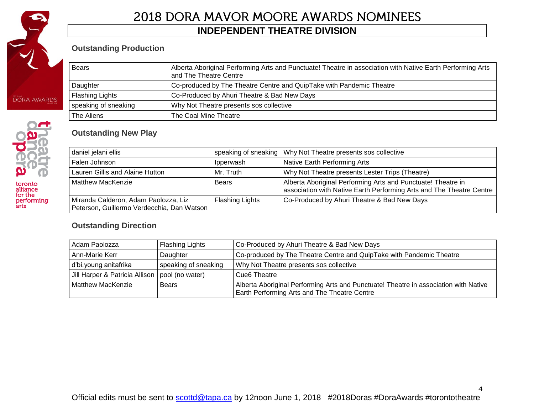

toronto<br>alliance<br>for the<br>performing<br>arts

# 2018 DORA MAVOR MOORE AWARDS NOMINEES

### **INDEPENDENT THEATRE DIVISION**

### **Outstanding Production**

| <b>Bears</b>           | Alberta Aboriginal Performing Arts and Punctuate! Theatre in association with Native Earth Performing Arts<br>and The Theatre Centre |
|------------------------|--------------------------------------------------------------------------------------------------------------------------------------|
| Daughter               | Co-produced by The Theatre Centre and QuipTake with Pandemic Theatre                                                                 |
| <b>Flashing Lights</b> | Co-Produced by Ahuri Theatre & Bad New Days                                                                                          |
| speaking of sneaking   | Why Not Theatre presents sos collective                                                                                              |
| The Aliens             | The Coal Mine Theatre                                                                                                                |

### **Outstanding New Play**

| daniel jelani ellis                                                                |                        | speaking of sneaking   Why Not Theatre presents sos collective                                                                       |
|------------------------------------------------------------------------------------|------------------------|--------------------------------------------------------------------------------------------------------------------------------------|
| Falen Johnson                                                                      | Ipperwash              | Native Earth Performing Arts                                                                                                         |
| Lauren Gillis and Alaine Hutton                                                    | Mr. Truth              | Why Not Theatre presents Lester Trips (Theatre)                                                                                      |
| <b>Matthew MacKenzie</b>                                                           | <b>Bears</b>           | Alberta Aboriginal Performing Arts and Punctuate! Theatre in<br>association with Native Earth Performing Arts and The Theatre Centre |
| Miranda Calderon, Adam Paolozza, Liz<br>Peterson, Guillermo Verdecchia, Dan Watson | <b>Flashing Lights</b> | Co-Produced by Ahuri Theatre & Bad New Days                                                                                          |

### **Outstanding Direction**

| Adam Paolozza                                    | Co-Produced by Ahuri Theatre & Bad New Days<br><b>Flashing Lights</b> |                                                                                                                                      |  |
|--------------------------------------------------|-----------------------------------------------------------------------|--------------------------------------------------------------------------------------------------------------------------------------|--|
| Ann-Marie Kerr                                   | Daughter                                                              | Co-produced by The Theatre Centre and QuipTake with Pandemic Theatre                                                                 |  |
| d'bi.young anitafrika                            | speaking of sneaking                                                  | Why Not Theatre presents sos collective                                                                                              |  |
| Jill Harper & Patricia Allison   pool (no water) |                                                                       | Cue <sub>6</sub> Theatre                                                                                                             |  |
| Matthew MacKenzie                                | Bears                                                                 | Alberta Aboriginal Performing Arts and Punctuate! Theatre in association with Native<br>Earth Performing Arts and The Theatre Centre |  |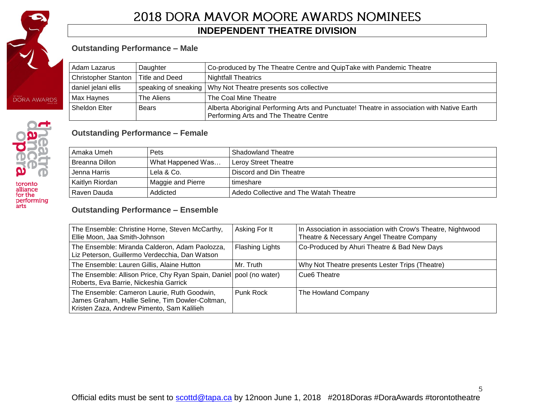

performing<br>arts

# 2018 DORA MAVOR MOORE AWARDS NOMINEES

### **INDEPENDENT THEATRE DIVISION**

### **Outstanding Performance – Male**

|                                                                            | Adam Lazarus<br>Daughter |                                                                | Co-produced by The Theatre Centre and QuipTake with Pandemic Theatre                                                                 |
|----------------------------------------------------------------------------|--------------------------|----------------------------------------------------------------|--------------------------------------------------------------------------------------------------------------------------------------|
| <b>Christopher Stanton</b><br>Title and Deed<br><b>Nightfall Theatrics</b> |                          |                                                                |                                                                                                                                      |
|                                                                            | daniel jelani ellis      | speaking of sneaking   Why Not Theatre presents sos collective |                                                                                                                                      |
|                                                                            | Max Haynes               | The Aliens                                                     | The Coal Mine Theatre                                                                                                                |
|                                                                            | Sheldon Elter            | Bears                                                          | Alberta Aboriginal Performing Arts and Punctuate! Theatre in association with Native Earth<br>Performing Arts and The Theatre Centre |

### **Outstanding Performance – Female**

| Amaka Umeh      | <b>Pets</b>       | Shadowland Theatre                     |
|-----------------|-------------------|----------------------------------------|
| Breanna Dillon  | What Happened Was | l Lerov Street Theatre                 |
| Jenna Harris    | Lela & Co.        | Discord and Din Theatre                |
| Kaitlyn Riordan | Maggie and Pierre | l timeshare                            |
| Raven Dauda     | Addicted          | Adedo Collective and The Watah Theatre |

### **Outstanding Performance – Ensemble**

| The Ensemble: Christine Horne, Steven McCarthy,<br>Ellie Moon, Jaa Smith-Johnson                                                              | Asking For It          | In Association in association with Crow's Theatre, Nightwood<br>Theatre & Necessary Angel Theatre Company |  |
|-----------------------------------------------------------------------------------------------------------------------------------------------|------------------------|-----------------------------------------------------------------------------------------------------------|--|
| The Ensemble: Miranda Calderon, Adam Paolozza,<br>Liz Peterson, Guillermo Verdecchia, Dan Watson                                              | <b>Flashing Lights</b> | Co-Produced by Ahuri Theatre & Bad New Days                                                               |  |
| The Ensemble: Lauren Gillis, Alaine Hutton                                                                                                    | Mr. Truth              | Why Not Theatre presents Lester Trips (Theatre)                                                           |  |
| The Ensemble: Allison Price, Chy Ryan Spain, Daniel   pool (no water)<br>Roberts, Eva Barrie, Nickeshia Garrick                               |                        | Cue <sub>6</sub> Theatre                                                                                  |  |
| The Ensemble: Cameron Laurie, Ruth Goodwin,<br>James Graham, Hallie Seline, Tim Dowler-Coltman,<br>Kristen Zaza, Andrew Pimento, Sam Kalilieh | Punk Rock              | The Howland Company                                                                                       |  |

5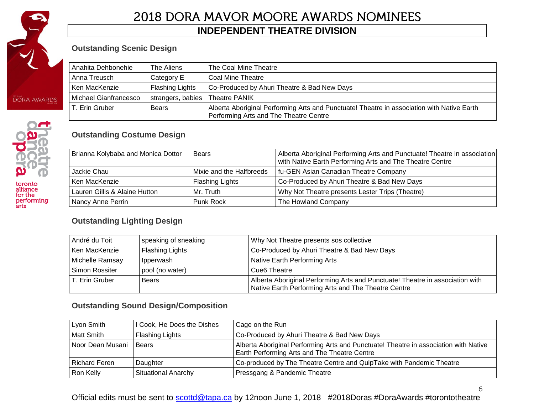

### **INDEPENDENT THEATRE DIVISION**

### **Outstanding Scenic Design**

| Anahita Dehbonehie    | The Aliens                        | The Coal Mine Theatre                                                                                                                |  |
|-----------------------|-----------------------------------|--------------------------------------------------------------------------------------------------------------------------------------|--|
| Anna Treusch          | Category E                        | l Coal Mine Theatre                                                                                                                  |  |
| Ken MacKenzie         | Flashing Lights                   | Co-Produced by Ahuri Theatre & Bad New Days                                                                                          |  |
| Michael Gianfrancesco | strangers, babies   Theatre PANIK |                                                                                                                                      |  |
| . Erin Gruber         | Bears                             | Alberta Aboriginal Performing Arts and Punctuate! Theatre in association with Native Earth<br>Performing Arts and The Theatre Centre |  |

### **Outstanding Costume Design**

| Brianna Kolybaba and Monica Dottor<br>Bears |                          | Alberta Aboriginal Performing Arts and Punctuate! Theatre in association<br>with Native Earth Performing Arts and The Theatre Centre |  |
|---------------------------------------------|--------------------------|--------------------------------------------------------------------------------------------------------------------------------------|--|
| Jackie Chau                                 | Mixie and the Halfbreeds | fu-GEN Asian Canadian Theatre Company                                                                                                |  |
| Ken MacKenzie                               | <b>Flashing Lights</b>   | Co-Produced by Ahuri Theatre & Bad New Days                                                                                          |  |
| Lauren Gillis & Alaine Hutton               | Mr. Truth                | Why Not Theatre presents Lester Trips (Theatre)                                                                                      |  |
| Nancy Anne Perrin                           | Punk Rock                | The Howland Company                                                                                                                  |  |

### **Outstanding Lighting Design**

| André du Toit<br>speaking of sneaking   |              | Why Not Theatre presents sos collective                                                                                              |  |
|-----------------------------------------|--------------|--------------------------------------------------------------------------------------------------------------------------------------|--|
| Ken MacKenzie<br><b>Flashing Lights</b> |              | Co-Produced by Ahuri Theatre & Bad New Days                                                                                          |  |
| Michelle Ramsay<br>Ipperwash            |              | Native Earth Performing Arts                                                                                                         |  |
| Simon Rossiter<br>pool (no water)       |              | Cue <sub>6</sub> Theatre                                                                                                             |  |
| T. Erin Gruber                          | <b>Bears</b> | Alberta Aboriginal Performing Arts and Punctuate! Theatre in association with<br>Native Earth Performing Arts and The Theatre Centre |  |

### **Outstanding Sound Design/Composition**

| Lyon Smith           | I Cook, He Does the Dishes | Cage on the Run                                                                                                                             |  |
|----------------------|----------------------------|---------------------------------------------------------------------------------------------------------------------------------------------|--|
| Matt Smith           | Flashing Lights            | Co-Produced by Ahuri Theatre & Bad New Days                                                                                                 |  |
| Noor Dean Musani     | Bears                      | Alberta Aboriginal Performing Arts and Punctuate! Theatre in association with Native<br><b>Earth Performing Arts and The Theatre Centre</b> |  |
| <b>Richard Feren</b> | Daughter                   | Co-produced by The Theatre Centre and QuipTake with Pandemic Theatre                                                                        |  |
| Ron Kelly            | Situational Anarchy        | Pressgang & Pandemic Theatre                                                                                                                |  |

Official edits must be sent to **scottd@tapa.ca** by 12noon June 1, 2018 #2018Doras #DoraAwards #torontotheatre

 $\sqrt{6}$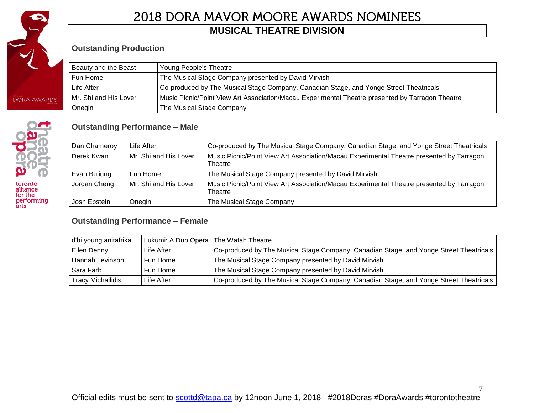

performing<br>arts

# 2018 DORA MAVOR MOORE AWARDS NOMINEES

### **MUSICAL THEATRE DIVISION**

### **Outstanding Production**

| Beauty and the Beast                                             | Young People's Theatre                                                                           |
|------------------------------------------------------------------|--------------------------------------------------------------------------------------------------|
| The Musical Stage Company presented by David Mirvish<br>Fun Home |                                                                                                  |
| Life After                                                       | Co-produced by The Musical Stage Company, Canadian Stage, and Yonge Street Theatricals           |
| Mr. Shi and His Lover                                            | Music Picnic/Point View Art Association/Macau Experimental Theatre presented by Tarragon Theatre |
| Onegin                                                           | The Musical Stage Company                                                                        |

#### **Outstanding Performance – Male**

| Dan Chameroy<br>Life After |                       | Co-produced by The Musical Stage Company, Canadian Stage, and Yonge Street Theatricals              |
|----------------------------|-----------------------|-----------------------------------------------------------------------------------------------------|
| Derek Kwan                 | Mr. Shi and His Lover | Music Picnic/Point View Art Association/Macau Experimental Theatre presented by Tarragon<br>Theatre |
| Evan Buliung<br>Fun Home   |                       | The Musical Stage Company presented by David Mirvish                                                |
| Jordan Cheng               | Mr. Shi and His Lover | Music Picnic/Point View Art Association/Macau Experimental Theatre presented by Tarragon<br>Theatre |
| Josh Epstein<br>Onegin     |                       | The Musical Stage Company                                                                           |

#### **Outstanding Performance – Female**

| d'bi.young anitafrika                  | Lukumi: A Dub Opera   The Watah Theatre                                                               |                                                                                        |  |
|----------------------------------------|-------------------------------------------------------------------------------------------------------|----------------------------------------------------------------------------------------|--|
| Ellen Denny                            | Co-produced by The Musical Stage Company, Canadian Stage, and Yonge Street Theatricals<br>Life After. |                                                                                        |  |
| Hannah Levinson                        | Fun Home                                                                                              | The Musical Stage Company presented by David Mirvish                                   |  |
| Sara Farb                              | The Musical Stage Company presented by David Mirvish<br>Fun Home                                      |                                                                                        |  |
| <b>Tracy Michailidis</b><br>Life After |                                                                                                       | Co-produced by The Musical Stage Company, Canadian Stage, and Yonge Street Theatricals |  |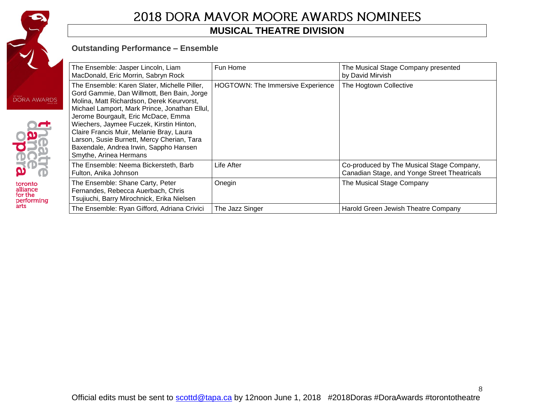

toronto<br>alliance<br>for the<br>performing<br>arts

# 2018 DORA MAVOR MOORE AWARDS NOMINEES

### **MUSICAL THEATRE DIVISION**

#### **Outstanding Performance – Ensemble**

| $\sum_{s \geq 0}$ | The Ensemble: Jasper Lincoln, Liam<br>MacDonald, Eric Morrin, Sabryn Rock                                                                                                                                                                                                                                                                                                                                                                 | Fun Home                                 | The Musical Stage Company presented<br>by David Mirvish                                   |
|-------------------|-------------------------------------------------------------------------------------------------------------------------------------------------------------------------------------------------------------------------------------------------------------------------------------------------------------------------------------------------------------------------------------------------------------------------------------------|------------------------------------------|-------------------------------------------------------------------------------------------|
|                   | The Ensemble: Karen Slater, Michelle Piller,<br>Gord Gammie, Dan Willmott, Ben Bain, Jorge<br>Molina, Matt Richardson, Derek Keurvorst,<br>Michael Lamport, Mark Prince, Jonathan Ellul,<br>Jerome Bourgault, Eric McDace, Emma<br>Wiechers, Jaymee Fuczek, Kirstin Hinton,<br>Claire Francis Muir, Melanie Bray, Laura<br>Larson, Susie Burnett, Mercy Cherian, Tara<br>Baxendale, Andrea Irwin, Sappho Hansen<br>Smythe, Arinea Hermans | <b>HOGTOWN: The Immersive Experience</b> | The Hogtown Collective                                                                    |
|                   | The Ensemble: Neema Bickersteth, Barb<br>Fulton, Anika Johnson                                                                                                                                                                                                                                                                                                                                                                            | Life After                               | Co-produced by The Musical Stage Company,<br>Canadian Stage, and Yonge Street Theatricals |
|                   | The Ensemble: Shane Carty, Peter<br>Fernandes, Rebecca Auerbach, Chris<br>Tsujiuchi, Barry Mirochnick, Erika Nielsen                                                                                                                                                                                                                                                                                                                      | Onegin                                   | The Musical Stage Company                                                                 |
|                   | The Ensemble: Ryan Gifford, Adriana Crivici                                                                                                                                                                                                                                                                                                                                                                                               | The Jazz Singer                          | Harold Green Jewish Theatre Company                                                       |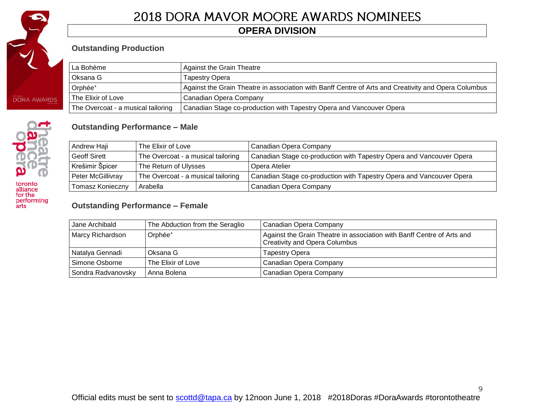

# **OPERA DIVISION**

### **Outstanding Production**

| La Bohème                          | <b>Against the Grain Theatre</b>                                                                     |
|------------------------------------|------------------------------------------------------------------------------------------------------|
| Oksana G                           | Tapestry Opera                                                                                       |
| Orphée <sup>+</sup>                | Against the Grain Theatre in association with Banff Centre of Arts and Creativity and Opera Columbus |
| The Elixir of Love                 | Canadian Opera Company                                                                               |
| The Overcoat - a musical tailoring | Canadian Stage co-production with Tapestry Opera and Vancouver Opera                                 |

### **Outstanding Performance – Male**

| Andrew Haji         | The Elixir of Love                 | Canadian Opera Company                                               |
|---------------------|------------------------------------|----------------------------------------------------------------------|
| <b>Geoff Sirett</b> | The Overcoat - a musical tailoring | Canadian Stage co-production with Tapestry Opera and Vancouver Opera |
| Krešimir Špicer     | The Return of Ulysses              | Opera Atelier                                                        |
| Peter McGillivray   | The Overcoat - a musical tailoring | Canadian Stage co-production with Tapestry Opera and Vancouver Opera |
| Tomasz Konieczny    | Arabella                           | Canadian Opera Company                                               |

#### **Outstanding Performance – Female**

| Jane Archibald     | The Abduction from the Seraglio | Canadian Opera Company                                                                                         |
|--------------------|---------------------------------|----------------------------------------------------------------------------------------------------------------|
| Marcy Richardson   | Orphée <sup>+</sup>             | Against the Grain Theatre in association with Banff Centre of Arts and<br><b>Creativity and Opera Columbus</b> |
| Natalya Gennadi    | Oksana G                        | <b>Tapestry Opera</b>                                                                                          |
| Simone Osborne     | The Elixir of Love              | Canadian Opera Company                                                                                         |
| Sondra Radvanovsky | Anna Bolena                     | Canadian Opera Company                                                                                         |

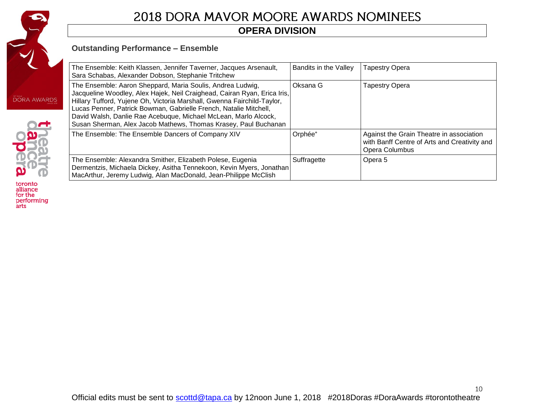

# **OPERA DIVISION**

### **Outstanding Performance – Ensemble**

| The Ensemble: Keith Klassen, Jennifer Taverner, Jacques Arsenault,<br>Sara Schabas, Alexander Dobson, Stephanie Tritchew                                                                                                                                                                                                                                                                                                     | Bandits in the Valley | <b>Tapestry Opera</b>                                                                                      |
|------------------------------------------------------------------------------------------------------------------------------------------------------------------------------------------------------------------------------------------------------------------------------------------------------------------------------------------------------------------------------------------------------------------------------|-----------------------|------------------------------------------------------------------------------------------------------------|
| The Ensemble: Aaron Sheppard, Maria Soulis, Andrea Ludwig,<br>Jacqueline Woodley, Alex Hajek, Neil Craighead, Cairan Ryan, Erica Iris,<br>Hillary Tufford, Yujene Oh, Victoria Marshall, Gwenna Fairchild-Taylor,<br>Lucas Penner, Patrick Bowman, Gabrielle French, Natalie Mitchell,<br>David Walsh, Danlie Rae Acebuque, Michael McLean, Marlo Alcock,<br>Susan Sherman, Alex Jacob Mathews, Thomas Krasey, Paul Buchanan | Oksana G              | Tapestry Opera                                                                                             |
| The Ensemble: The Ensemble Dancers of Company XIV                                                                                                                                                                                                                                                                                                                                                                            | Orphée <sup>+</sup>   | Against the Grain Theatre in association<br>with Banff Centre of Arts and Creativity and<br>Opera Columbus |
| The Ensemble: Alexandra Smither, Elizabeth Polese, Eugenia<br>Dermentzis, Michaela Dickey, Asitha Tennekoon, Kevin Myers, Jonathan<br>MacArthur, Jeremy Ludwig, Alan MacDonald, Jean-Philippe McClish                                                                                                                                                                                                                        | Suffragette           | Opera 5                                                                                                    |



toronto<br>alliance<br>for the<br>performing<br>arts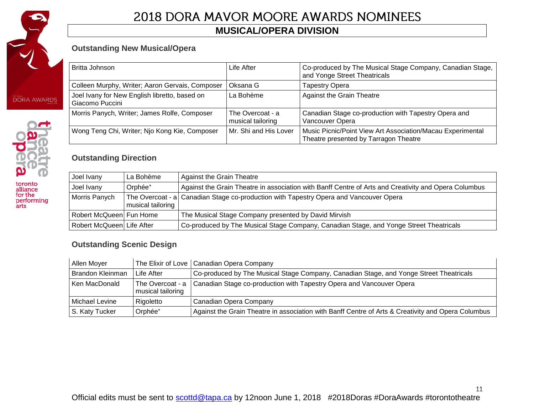

toronto<br>alliance<br>for the<br>performing<br>arts

# 2018 DORA MAVOR MOORE AWARDS NOMINEES

# **MUSICAL/OPERA DIVISION**

### **Outstanding New Musical/Opera**

| Britta Johnson                                                   | Life After                            | Co-produced by The Musical Stage Company, Canadian Stage,<br>and Yonge Street Theatricals           |
|------------------------------------------------------------------|---------------------------------------|-----------------------------------------------------------------------------------------------------|
| Colleen Murphy, Writer; Aaron Gervais, Composer                  | Oksana G                              | Tapestry Opera                                                                                      |
| Joel Ivany for New English libretto, based on<br>Giacomo Puccini | La Bohème                             | <b>Against the Grain Theatre</b>                                                                    |
| Morris Panych, Writer; James Rolfe, Composer                     | The Overcoat - a<br>musical tailoring | Canadian Stage co-production with Tapestry Opera and<br>Vancouver Opera                             |
| Wong Teng Chi, Writer; Njo Kong Kie, Composer                    | Mr. Shi and His Lover                 | Music Picnic/Point View Art Association/Macau Experimental<br>Theatre presented by Tarragon Theatre |

### **Outstanding Direction**

| Joel Ivany                | La Bohème           | Against the Grain Theatre                                                                            |
|---------------------------|---------------------|------------------------------------------------------------------------------------------------------|
| Joel Ivany                | Orphée <sup>+</sup> | Against the Grain Theatre in association with Banff Centre of Arts and Creativity and Opera Columbus |
| Morris Panych             | musical tailoring   | The Overcoat - a Canadian Stage co-production with Tapestry Opera and Vancouver Opera                |
| Robert McQueen Fun Home   |                     | The Musical Stage Company presented by David Mirvish                                                 |
| Robert McQueen Life After |                     | Co-produced by The Musical Stage Company, Canadian Stage, and Yonge Street Theatricals               |

### **Outstanding Scenic Design**

| Allen Moyer      |                     | The Elixir of Love   Canadian Opera Company                                                        |
|------------------|---------------------|----------------------------------------------------------------------------------------------------|
| Brandon Kleinman | Life After          | Co-produced by The Musical Stage Company, Canadian Stage, and Yonge Street Theatricals             |
| Ken MacDonald    | musical tailoring   | The Overcoat - a   Canadian Stage co-production with Tapestry Opera and Vancouver Opera            |
| Michael Levine   | Rigoletto           | Canadian Opera Company                                                                             |
| S. Katy Tucker   | Orphée <sup>+</sup> | Against the Grain Theatre in association with Banff Centre of Arts & Creativity and Opera Columbus |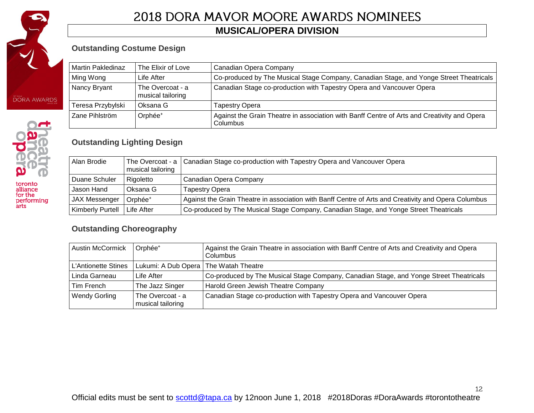

performing<br>arts

# 2018 DORA MAVOR MOORE AWARDS NOMINEES

### **MUSICAL/OPERA DIVISION**

### **Outstanding Costume Design**

| Martin Pakledinaz | The Elixir of Love                    | Canadian Opera Company                                                                                  |
|-------------------|---------------------------------------|---------------------------------------------------------------------------------------------------------|
| Ming Wong         | Life After                            | Co-produced by The Musical Stage Company, Canadian Stage, and Yonge Street Theatricals                  |
| Nancy Bryant      | The Overcoat - a<br>musical tailoring | Canadian Stage co-production with Tapestry Opera and Vancouver Opera                                    |
| Teresa Przybylski | Oksana G                              | Tapestry Opera                                                                                          |
| Zane Pihlström    | Orphée <sup>+</sup>                   | Against the Grain Theatre in association with Banff Centre of Arts and Creativity and Opera<br>Columbus |

### **Outstanding Lighting Design**

| Alan Brodie             | musical tailoring   | The Overcoat - a   Canadian Stage co-production with Tapestry Opera and Vancouver Opera              |
|-------------------------|---------------------|------------------------------------------------------------------------------------------------------|
| Duane Schuler           | Rigoletto           | Canadian Opera Company                                                                               |
| Jason Hand              | Oksana G            | Tapestry Opera                                                                                       |
| JAX Messenger           | Orphée <sup>+</sup> | Against the Grain Theatre in association with Banff Centre of Arts and Creativity and Opera Columbus |
| <b>Kimberly Purtell</b> | ∣Life After         | Co-produced by The Musical Stage Company, Canadian Stage, and Yonge Street Theatricals               |

### **Outstanding Choreography**

| <b>Austin McCormick</b> | Orphée <sup>+</sup>                     | Against the Grain Theatre in association with Banff Centre of Arts and Creativity and Opera<br>Columbus |
|-------------------------|-----------------------------------------|---------------------------------------------------------------------------------------------------------|
| L'Antionette Stines     | Lukumi: A Dub Opera   The Watah Theatre |                                                                                                         |
| Linda Garneau           | Life After                              | Co-produced by The Musical Stage Company, Canadian Stage, and Yonge Street Theatricals                  |
| Tim French              | The Jazz Singer                         | Harold Green Jewish Theatre Company                                                                     |
| <b>Wendy Gorling</b>    | The Overcoat - a<br>musical tailoring   | Canadian Stage co-production with Tapestry Opera and Vancouver Opera                                    |

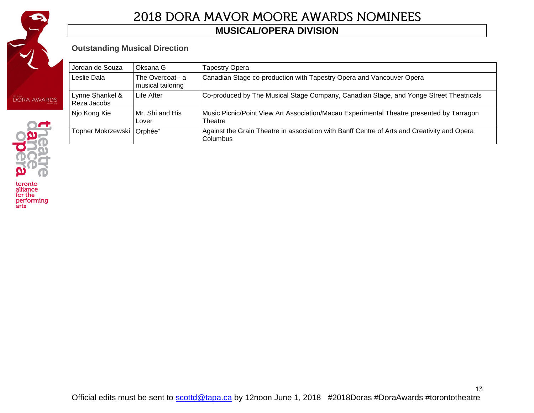

### **MUSICAL/OPERA DIVISION**

### **Outstanding Musical Direction**

|  | Jordan de Souza                | Oksana G                              | Tapestry Opera                                                                                          |
|--|--------------------------------|---------------------------------------|---------------------------------------------------------------------------------------------------------|
|  | Leslie Dala                    | The Overcoat - a<br>musical tailoring | Canadian Stage co-production with Tapestry Opera and Vancouver Opera                                    |
|  | Lynne Shankel &<br>Reza Jacobs | Life After                            | Co-produced by The Musical Stage Company, Canadian Stage, and Yonge Street Theatricals                  |
|  | Njo Kong Kie                   | Mr. Shi and His<br>Lover              | Music Picnic/Point View Art Association/Macau Experimental Theatre presented by Tarragon<br>Theatre     |
|  | Topher Mokrzewski   Orphée*    |                                       | Against the Grain Theatre in association with Banff Centre of Arts and Creativity and Opera<br>Columbus |



toronto<br>alliance<br>for the<br>performing<br>arts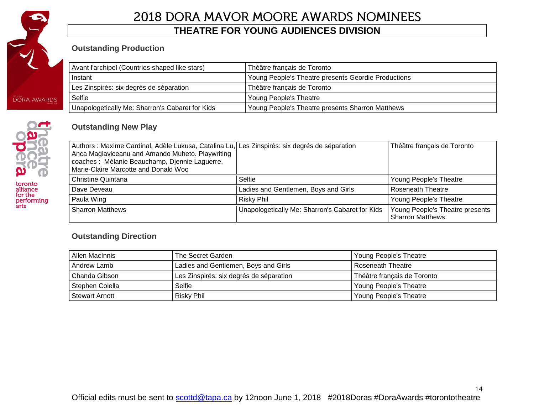

performing<br>arts

# 2018 DORA MAVOR MOORE AWARDS NOMINEES

### **THEATRE FOR YOUNG AUDIENCES DIVISION**

### **Outstanding Production**

| Avant l'archipel (Countries shaped like stars)  | Théâtre français de Toronto                         |  |
|-------------------------------------------------|-----------------------------------------------------|--|
| Instant                                         | Young People's Theatre presents Geordie Productions |  |
| Les Zinspirés: six degrés de séparation         | Théâtre français de Toronto                         |  |
| Selfie                                          | <b>Young People's Theatre</b>                       |  |
| Unapologetically Me: Sharron's Cabaret for Kids | Young People's Theatre presents Sharron Matthews    |  |

### **Outstanding New Play**

| Authors : Maxime Cardinal, Adèle Lukusa, Catalina Lu, Les Zinspirés: six degrés de séparation<br>Anca Maglaviceanu and Amando Muheto. Playwriting<br>coaches : Mélanie Beauchamp, Djennie Laguerre,<br>Marie-Claire Marcotte and Donald Woo |                                                 | Théâtre français de Toronto                                |
|---------------------------------------------------------------------------------------------------------------------------------------------------------------------------------------------------------------------------------------------|-------------------------------------------------|------------------------------------------------------------|
| <b>Christine Quintana</b>                                                                                                                                                                                                                   | Selfie                                          | Young People's Theatre                                     |
| Dave Deveau                                                                                                                                                                                                                                 | Ladies and Gentlemen, Boys and Girls            | <b>Roseneath Theatre</b>                                   |
| Paula Wing                                                                                                                                                                                                                                  | <b>Risky Phil</b>                               | Young People's Theatre                                     |
| <b>Sharron Matthews</b>                                                                                                                                                                                                                     | Unapologetically Me: Sharron's Cabaret for Kids | Young People's Theatre presents<br><b>Sharron Matthews</b> |

### **Outstanding Direction**

| Allen MacInnis        | The Secret Garden                       | Young People's Theatre      |
|-----------------------|-----------------------------------------|-----------------------------|
| Andrew Lamb           | Ladies and Gentlemen, Boys and Girls    | l Roseneath Theatre         |
| l Chanda Gibson       | Les Zinspirés: six degrés de séparation | Théâtre français de Toronto |
| Stephen Colella       | Selfie                                  | Young People's Theatre      |
| <b>Stewart Arnott</b> | Risky Phil                              | Young People's Theatre      |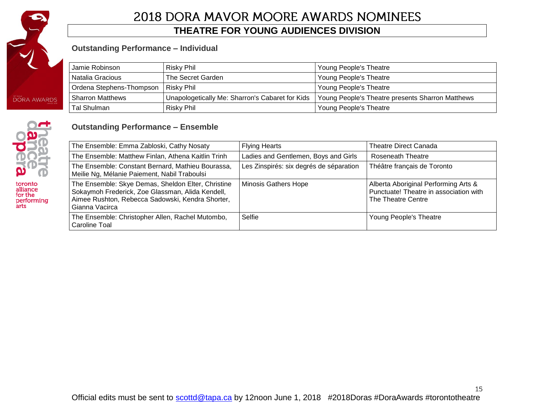

### **THEATRE FOR YOUNG AUDIENCES DIVISION**

#### **Outstanding Performance – Individual**

| Jamie Robinson           | Risky Phil                                      | Young People's Theatre                           |
|--------------------------|-------------------------------------------------|--------------------------------------------------|
| Natalia Gracious         | The Secret Garden                               | Young People's Theatre                           |
| Ordena Stephens-Thompson | Risky Phil                                      | Young People's Theatre                           |
| <b>Sharron Matthews</b>  | Unapologetically Me: Sharron's Cabaret for Kids | Young People's Theatre presents Sharron Matthews |
| Tal Shulman              | Risky Phil                                      | Young People's Theatre                           |

### **Outstanding Performance – Ensemble**



toronto alliance for the performing arts

The Ensemble: Emma Zabloski, Cathy Nosaty **Flying Hearts** The Theatre Direct Canada The Ensemble: Matthew Finlan, Athena Kaitlin Trinh Ladies and Gentlemen, Boys and Girls Roseneath Theatre The Ensemble: Constant Bernard, Mathieu Bourassa, Meilie Ng, Mélanie Paiement, Nabil Traboulsi Les Zinspirés: six degrés de séparation | Théâtre français de Toronto The Ensemble: Skye Demas, Sheldon Elter, Christine Sokaymoh Frederick, Zoe Glassman, Alida Kendell, Aimee Rushton, Rebecca Sadowski, Kendra Shorter, Gianna Vacirca Minosis Gathers Hope Alberta Aboriginal Performing Arts & Punctuate! Theatre in association with The Theatre Centre The Ensemble: Christopher Allen, Rachel Mutombo, Caroline Toal Selfie Selfie Theatre New Young People's Theatre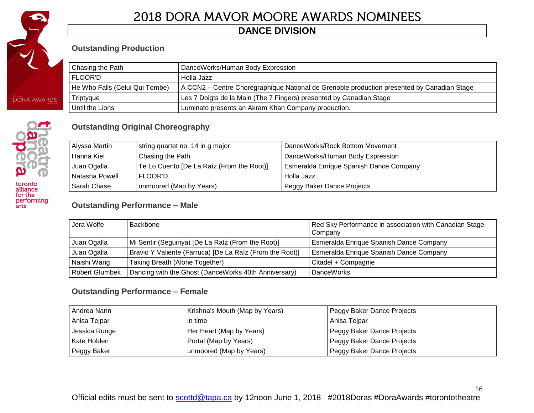

# **DANCE DIVISION**

### **Outstanding Production**

| Chasing the Path               | DanceWorks/Human Body Expression                                                           |
|--------------------------------|--------------------------------------------------------------------------------------------|
| FLOOR'D                        | Holla Jazz                                                                                 |
| He Who Falls (Celui Qui Tombe) | A CCN2 – Centre Chorégraphique National de Grenoble production presented by Canadian Stage |
| Triptyque                      | Les 7 Doigts de la Main (The 7 Fingers) presented by Canadian Stage                        |
| Until the Lions                | Luminato presents an Akram Khan Company production.                                        |



| Alyssa Martin  | string quartet no. 14 in g major          | DanceWorks/Rock Bottom Movement         |
|----------------|-------------------------------------------|-----------------------------------------|
| Hanna Kiel     | Chasing the Path                          | DanceWorks/Human Body Expression        |
| Juan Ogalla    | Te Lo Cuento [De La Raíz (From the Root)] | Esmeralda Enrique Spanish Dance Company |
| Natasha Powell | FLOOR'D                                   | Holla Jazz                              |
| Sarah Chase    | unmoored (Map by Years)                   | Peggy Baker Dance Projects              |

### **Outstanding Performance – Male**

| Jera Wolfe            | Backbone                                                 | Red Sky Performance in association with Canadian Stage<br>Company |
|-----------------------|----------------------------------------------------------|-------------------------------------------------------------------|
| Juan Ogalla           | Mi Sentir (Seguiriya) [De La Raíz (From the Root)]       | Esmeralda Enrique Spanish Dance Company                           |
| Juan Ogalla           | Bravio Y Valiente (Farruca) [De La Raíz (From the Root)] | Esmeralda Enrique Spanish Dance Company                           |
| Naishi Wang           | Taking Breath (Alone Together)                           | Citadel + Compagnie                                               |
| <b>Robert Glumbek</b> | Dancing with the Ghost (DanceWorks 40th Anniversary)     | <b>DanceWorks</b>                                                 |

### **Outstanding Performance – Female**

| Andrea Nann   | Krishna's Mouth (Map by Years) | Peggy Baker Dance Projects |
|---------------|--------------------------------|----------------------------|
| Anisa Tejpar  | in time                        | Anisa Tejpar               |
| Jessica Runge | Her Heart (Map by Years)       | Peggy Baker Dance Projects |
| Kate Holden   | Portal (Map by Years)          | Peggy Baker Dance Projects |
| Peggy Baker   | unmoored (Map by Years)        | Peggy Baker Dance Projects |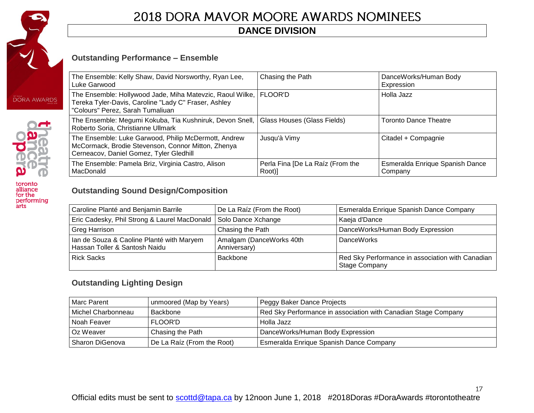

performing<br>arts

# 2018 DORA MAVOR MOORE AWARDS NOMINEES

# **DANCE DIVISION**

### **Outstanding Performance – Ensemble**

| The Ensemble: Kelly Shaw, David Norsworthy, Ryan Lee,<br>Luke Garwood                                                                                   | Chasing the Path                           | DanceWorks/Human Body<br>Expression               |
|---------------------------------------------------------------------------------------------------------------------------------------------------------|--------------------------------------------|---------------------------------------------------|
| The Ensemble: Hollywood Jade, Miha Matevzic, Raoul Wilke,  <br>Tereka Tyler-Davis, Caroline "Lady C" Fraser, Ashley<br>"Colours" Perez, Sarah Tumaliuan | l FLOOR'D                                  | l Holla Jazz                                      |
| The Ensemble: Megumi Kokuba, Tia Kushniruk, Devon Snell,  <br>Roberto Soria, Christianne Ullmark                                                        | Glass Houses (Glass Fields)                | <b>Toronto Dance Theatre</b>                      |
| The Ensemble: Luke Garwood, Philip McDermott, Andrew<br>McCormack, Brodie Stevenson, Connor Mitton, Zhenya<br>Cerneacov, Daniel Gomez, Tyler Gledhill   | Jusqu'à Vimy                               | Citadel + Compagnie                               |
| The Ensemble: Pamela Briz, Virginia Castro, Alison<br>MacDonald                                                                                         | Perla Fina [De La Raíz (From the<br>Root)] | <b>Esmeralda Enrique Spanish Dance</b><br>Company |

# **Outstanding Sound Design/Composition**

| Caroline Planté and Benjamin Barrile                                       | De La Raíz (From the Root)               | Esmeralda Enrique Spanish Dance Company                                  |
|----------------------------------------------------------------------------|------------------------------------------|--------------------------------------------------------------------------|
| Eric Cadesky, Phil Strong & Laurel MacDonald   Solo Dance Xchange          |                                          | Kaeja d'Dance                                                            |
| <b>Greg Harrison</b>                                                       | Chasing the Path                         | DanceWorks/Human Body Expression                                         |
| Ian de Souza & Caoline Planté with Maryem<br>Hassan Toller & Santosh Naidu | Amalgam (DanceWorks 40th<br>Anniversary) | <b>DanceWorks</b>                                                        |
| <b>Rick Sacks</b>                                                          | Backbone                                 | Red Sky Performance in association with Canadian<br><b>Stage Company</b> |

### **Outstanding Lighting Design**

| Marc Parent          | unmoored (Map by Years)    | Peggy Baker Dance Projects                                     |
|----------------------|----------------------------|----------------------------------------------------------------|
| l Michel Charbonneau | Backbone                   | Red Sky Performance in association with Canadian Stage Company |
| Noah Feaver          | <b>FLOOR'D</b>             | Holla Jazz                                                     |
| Oz Weaver            | Chasing the Path           | DanceWorks/Human Body Expression                               |
| Sharon DiGenova      | De La Raíz (From the Root) | Esmeralda Enrique Spanish Dance Company                        |